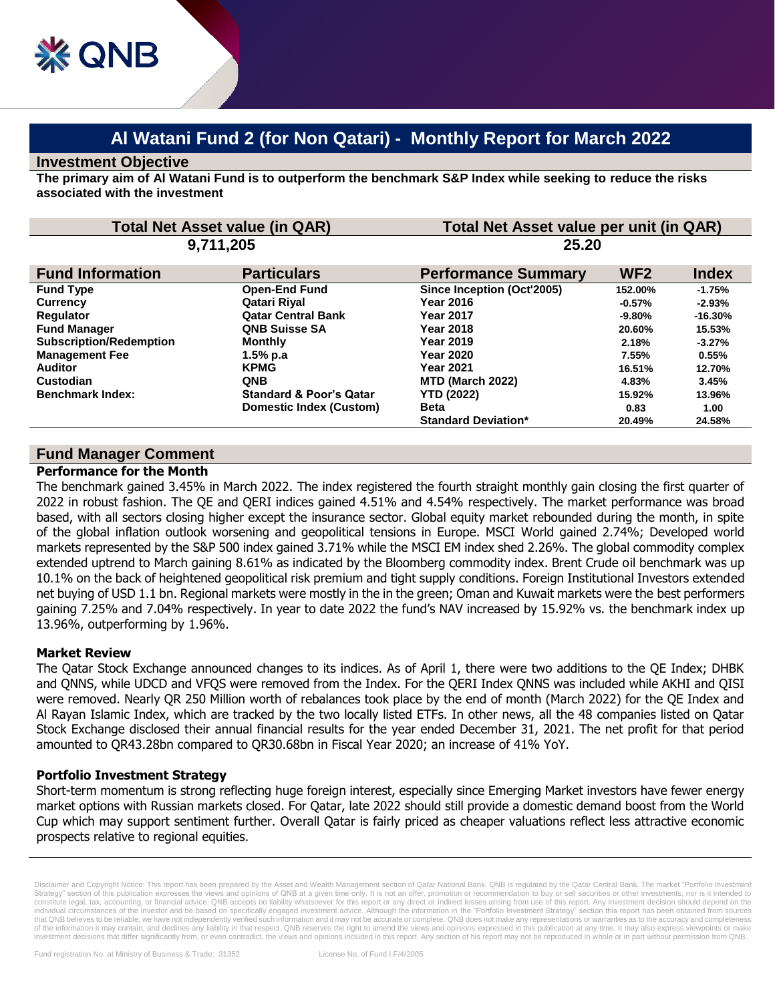## **Investment Objective**

**& QNB** 

**The primary aim of Al Watani Fund is to outperform the benchmark S&P Index while seeking to reduce the risks associated with the investment**

| <b>Total Net Asset value (in QAR)</b> |                                    | Total Net Asset value per unit (in QAR) |                 |              |
|---------------------------------------|------------------------------------|-----------------------------------------|-----------------|--------------|
| 9,711,205                             |                                    | 25.20                                   |                 |              |
| <b>Fund Information</b>               | <b>Particulars</b>                 | <b>Performance Summary</b>              | WF <sub>2</sub> | <b>Index</b> |
| <b>Fund Type</b>                      | <b>Open-End Fund</b>               | Since Inception (Oct'2005)              | 152.00%         | $-1.75%$     |
| <b>Currency</b>                       | Qatari Riyal                       | <b>Year 2016</b>                        | $-0.57\%$       | $-2.93%$     |
| <b>Regulator</b>                      | <b>Qatar Central Bank</b>          | <b>Year 2017</b>                        | $-9.80\%$       | $-16.30%$    |
| <b>Fund Manager</b>                   | <b>QNB Suisse SA</b>               | <b>Year 2018</b>                        | 20.60%          | 15.53%       |
| <b>Subscription/Redemption</b>        | <b>Monthly</b>                     | Year 2019                               | 2.18%           | $-3.27%$     |
| <b>Management Fee</b>                 | $1.5%$ p.a                         | <b>Year 2020</b>                        | 7.55%           | 0.55%        |
| <b>Auditor</b>                        | <b>KPMG</b>                        | <b>Year 2021</b>                        | 16.51%          | 12.70%       |
| Custodian                             | <b>QNB</b>                         | MTD (March 2022)                        | 4.83%           | 3.45%        |
| <b>Benchmark Index:</b>               | <b>Standard &amp; Poor's Qatar</b> | <b>YTD (2022)</b>                       | 15.92%          | 13.96%       |
|                                       | Domestic Index (Custom)            | <b>Beta</b>                             | 0.83            | 1.00         |
|                                       |                                    | <b>Standard Deviation*</b>              | 20.49%          | 24.58%       |

# **Fund Manager Comment**

#### **Performance for the Month**

The benchmark gained 3.45% in March 2022. The index registered the fourth straight monthly gain closing the first quarter of 2022 in robust fashion. The QE and QERI indices gained 4.51% and 4.54% respectively. The market performance was broad based, with all sectors closing higher except the insurance sector. Global equity market rebounded during the month, in spite of the global inflation outlook worsening and geopolitical tensions in Europe. MSCI World gained 2.74%; Developed world markets represented by the S&P 500 index gained 3.71% while the MSCI EM index shed 2.26%. The global commodity complex extended uptrend to March gaining 8.61% as indicated by the Bloomberg commodity index. Brent Crude oil benchmark was up 10.1% on the back of heightened geopolitical risk premium and tight supply conditions. Foreign Institutional Investors extended net buying of USD 1.1 bn. Regional markets were mostly in the in the green; Oman and Kuwait markets were the best performers gaining 7.25% and 7.04% respectively. In year to date 2022 the fund's NAV increased by 15.92% vs. the benchmark index up 13.96%, outperforming by 1.96%.

## **Market Review**

The Qatar Stock Exchange announced changes to its indices. As of April 1, there were two additions to the QE Index; DHBK and QNNS, while UDCD and VFQS were removed from the Index. For the QERI Index QNNS was included while AKHI and QISI were removed. Nearly QR 250 Million worth of rebalances took place by the end of month (March 2022) for the QE Index and Al Rayan Islamic Index, which are tracked by the two locally listed ETFs. In other news, all the 48 companies listed on Qatar Stock Exchange disclosed their annual financial results for the year ended December 31, 2021. The net profit for that period amounted to QR43.28bn compared to QR30.68bn in Fiscal Year 2020; an increase of 41% YoY.

## **Portfolio Investment Strategy**

Short-term momentum is strong reflecting huge foreign interest, especially since Emerging Market investors have fewer energy market options with Russian markets closed. For Qatar, late 2022 should still provide a domestic demand boost from the World Cup which may support sentiment further. Overall Qatar is fairly priced as cheaper valuations reflect less attractive economic prospects relative to regional equities.

Disclaimer and Copyright Notice: This report has been prepared by the Asset and Wealth Management section of Qatar National Bank. QNB is regulated by the Qatar Central Bank. The market "Portfolio Investm Disclation of this publication expresses the views and opinions of this recommendation of the promotion or recommendation to buy or sell securities or other investments, nor is it intended to Strategy" section of this publ constitute legal, tax, accounting, or financial advice. QNB accepts no liability whatsoever for this report or any direct or indirect losses arising from use of this report. Any investment decision should depend on the individual circumstances of the investor and be based on specifically engaged investment advice. Although the information in the "Portfolio Investment Strategy" section this report has been obtained from sources that QNB believes to be reliable, we have not independently verified such information and it may not be accurate or complete. QNB does not make any representations or warranties as to the accuracy and completeness of the information it may contain, and declines any liability in that respect. QNB reserves the right to amend the views and opinions expressed in this publication at any time. It may also express viewpoints or make investment decisions that differ significantly from, or even contradict, the views and opinions included in this report. Any section of his report may not be reproduced in whole or in part without permission from QNB.